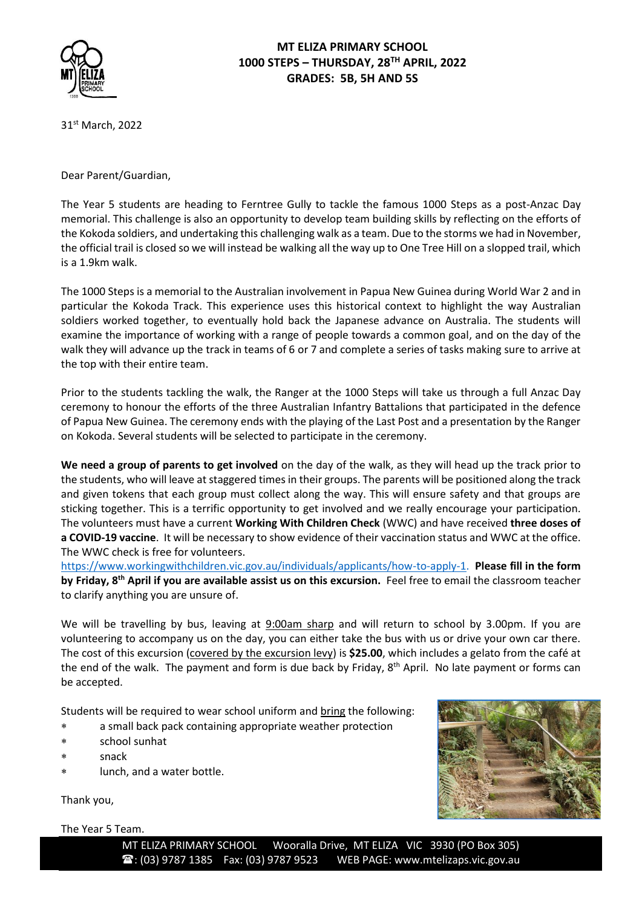

# **MT ELIZA PRIMARY SCHOOL 1000 STEPS – THURSDAY, 28TH APRIL, 2022 GRADES: 5B, 5H AND 5S**

31 st March, 2022

Dear Parent/Guardian,

The Year 5 students are heading to Ferntree Gully to tackle the famous 1000 Steps as a post-Anzac Day memorial. This challenge is also an opportunity to develop team building skills by reflecting on the efforts of the Kokoda soldiers, and undertaking this challenging walk as a team. Due to the storms we had in November, the official trail is closed so we will instead be walking all the way up to One Tree Hill on a slopped trail, which is a 1.9km walk.

The 1000 Steps is a memorial to the Australian involvement in Papua New Guinea during World War 2 and in particular the Kokoda Track. This experience uses this historical context to highlight the way Australian soldiers worked together, to eventually hold back the Japanese advance on Australia. The students will examine the importance of working with a range of people towards a common goal, and on the day of the walk they will advance up the track in teams of 6 or 7 and complete a series of tasks making sure to arrive at the top with their entire team.

Prior to the students tackling the walk, the Ranger at the 1000 Steps will take us through a full Anzac Day ceremony to honour the efforts of the three Australian Infantry Battalions that participated in the defence of Papua New Guinea. The ceremony ends with the playing of the Last Post and a presentation by the Ranger on Kokoda. Several students will be selected to participate in the ceremony.

**We need a group of parents to get involved** on the day of the walk, as they will head up the track prior to the students, who will leave at staggered times in their groups. The parents will be positioned along the track and given tokens that each group must collect along the way. This will ensure safety and that groups are sticking together. This is a terrific opportunity to get involved and we really encourage your participation. The volunteers must have a current **Working With Children Check** (WWC) and have received **three doses of a COVID-19 vaccine**. It will be necessary to show evidence of their vaccination status and WWC at the office. The WWC check is free for volunteers.

[https://www.workingwithchildren.vic.gov.au/individuals/applicants/how-to-apply-1.](https://www.workingwithchildren.vic.gov.au/individuals/applicants/how-to-apply-1) **Please fill in the form by Friday, 8th April if you are available assist us on this excursion.** Feel free to email the classroom teacher to clarify anything you are unsure of.

We will be travelling by bus, leaving at 9:00am sharp and will return to school by 3.00pm. If you are volunteering to accompany us on the day, you can either take the bus with us or drive your own car there. The cost of this excursion (covered by the excursion levy) is **\$25.00**, which includes a gelato from the café at the end of the walk. The payment and form is due back by Friday, 8<sup>th</sup> April. No late payment or forms can be accepted.

Students will be required to wear school uniform and bring the following:

- a small back pack containing appropriate weather protection
- school sunhat
- snack
- lunch, and a water bottle.

Thank you,

The Year 5 Team.

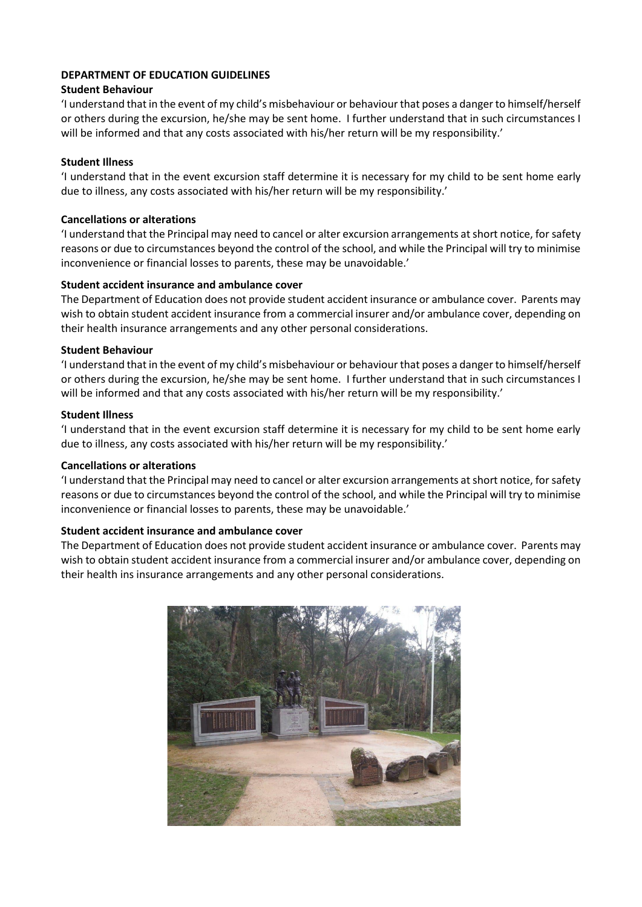#### **DEPARTMENT OF EDUCATION GUIDELINES**

### **Student Behaviour**

'I understand that in the event of my child's misbehaviour or behaviour that poses a danger to himself/herself or others during the excursion, he/she may be sent home. I further understand that in such circumstances I will be informed and that any costs associated with his/her return will be my responsibility.'

### **Student Illness**

'I understand that in the event excursion staff determine it is necessary for my child to be sent home early due to illness, any costs associated with his/her return will be my responsibility.'

### **Cancellations or alterations**

'I understand that the Principal may need to cancel or alter excursion arrangements at short notice, for safety reasons or due to circumstances beyond the control of the school, and while the Principal will try to minimise inconvenience or financial losses to parents, these may be unavoidable.'

### **Student accident insurance and ambulance cover**

The Department of Education does not provide student accident insurance or ambulance cover. Parents may wish to obtain student accident insurance from a commercial insurer and/or ambulance cover, depending on their health insurance arrangements and any other personal considerations.

### **Student Behaviour**

'I understand that in the event of my child's misbehaviour or behaviour that poses a danger to himself/herself or others during the excursion, he/she may be sent home. I further understand that in such circumstances I will be informed and that any costs associated with his/her return will be my responsibility.'

### **Student Illness**

'I understand that in the event excursion staff determine it is necessary for my child to be sent home early due to illness, any costs associated with his/her return will be my responsibility.'

#### **Cancellations or alterations**

'I understand that the Principal may need to cancel or alter excursion arrangements at short notice, for safety reasons or due to circumstances beyond the control of the school, and while the Principal will try to minimise inconvenience or financial losses to parents, these may be unavoidable.'

#### **Student accident insurance and ambulance cover**

The Department of Education does not provide student accident insurance or ambulance cover. Parents may wish to obtain student accident insurance from a commercial insurer and/or ambulance cover, depending on their health ins insurance arrangements and any other personal considerations.